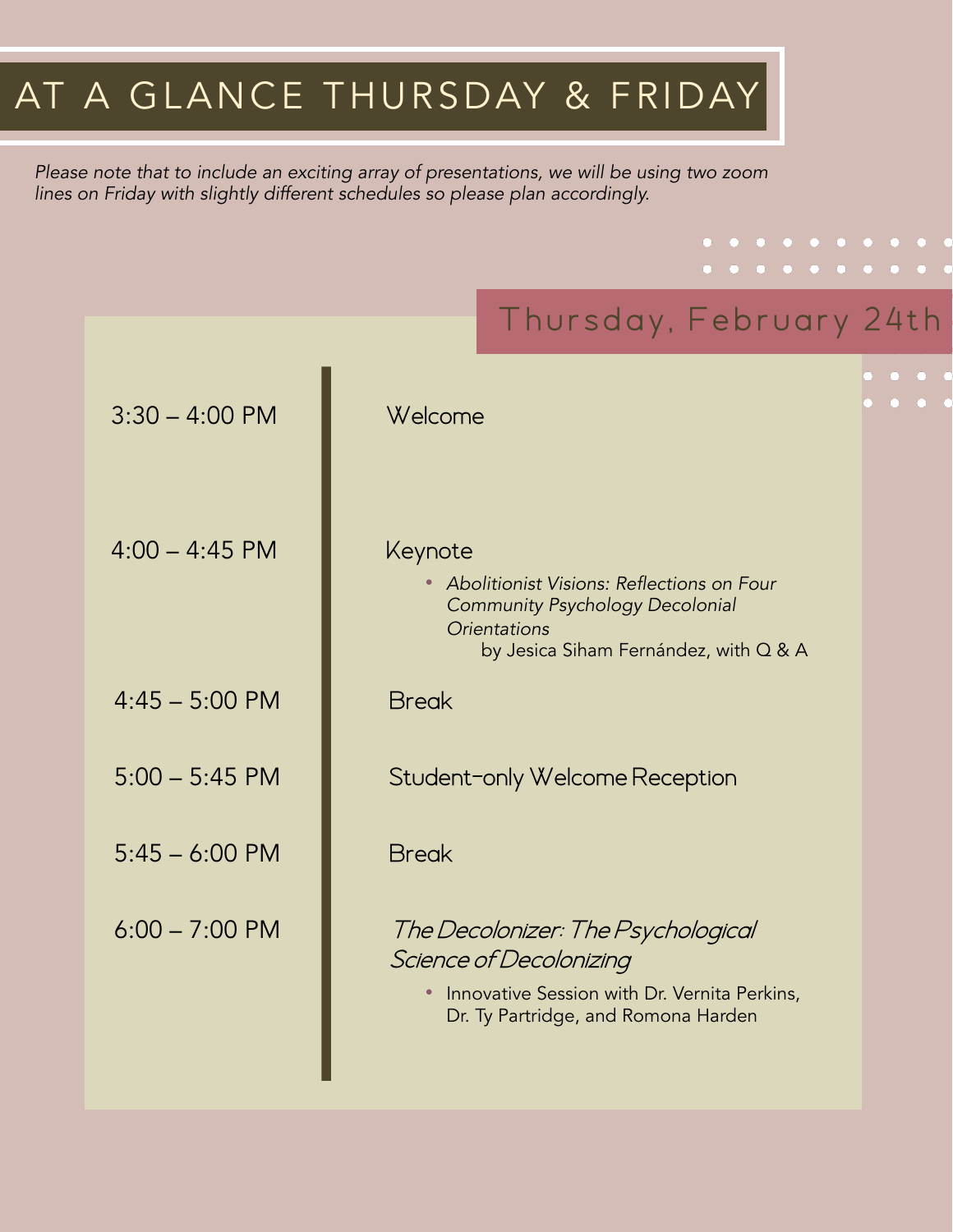## AT A GLANCE THURSDAY & FRIDAY

*Please note that to include an exciting array of presentations, we will be using two zoom lines on Friday with slightly different schedules so please plan accordingly.* 

# Thursday, February 24th 3:30 – 4:00 PM Welcome  $4:00 - 4:45$  PM • *Abolitionist Visions: Reflections on Four Community Psychology Decolonial Orientations* by Jesica Siham Fernández, with Q & A Keynote 4:45 – 5:00 PM Break 5:00 – 5:45 PM Student-only Welcome Reception  $5:45 - 6:00 \text{ PM}$  Break 6:00 – 7:00 PM The Decolonizer: The Psychological Science of Decolonizing • Innovative Session with Dr. Vernita Perkins, Dr. Ty Partridge, and Romona Harden

. . . . . . . . . . . . . . . . . . . .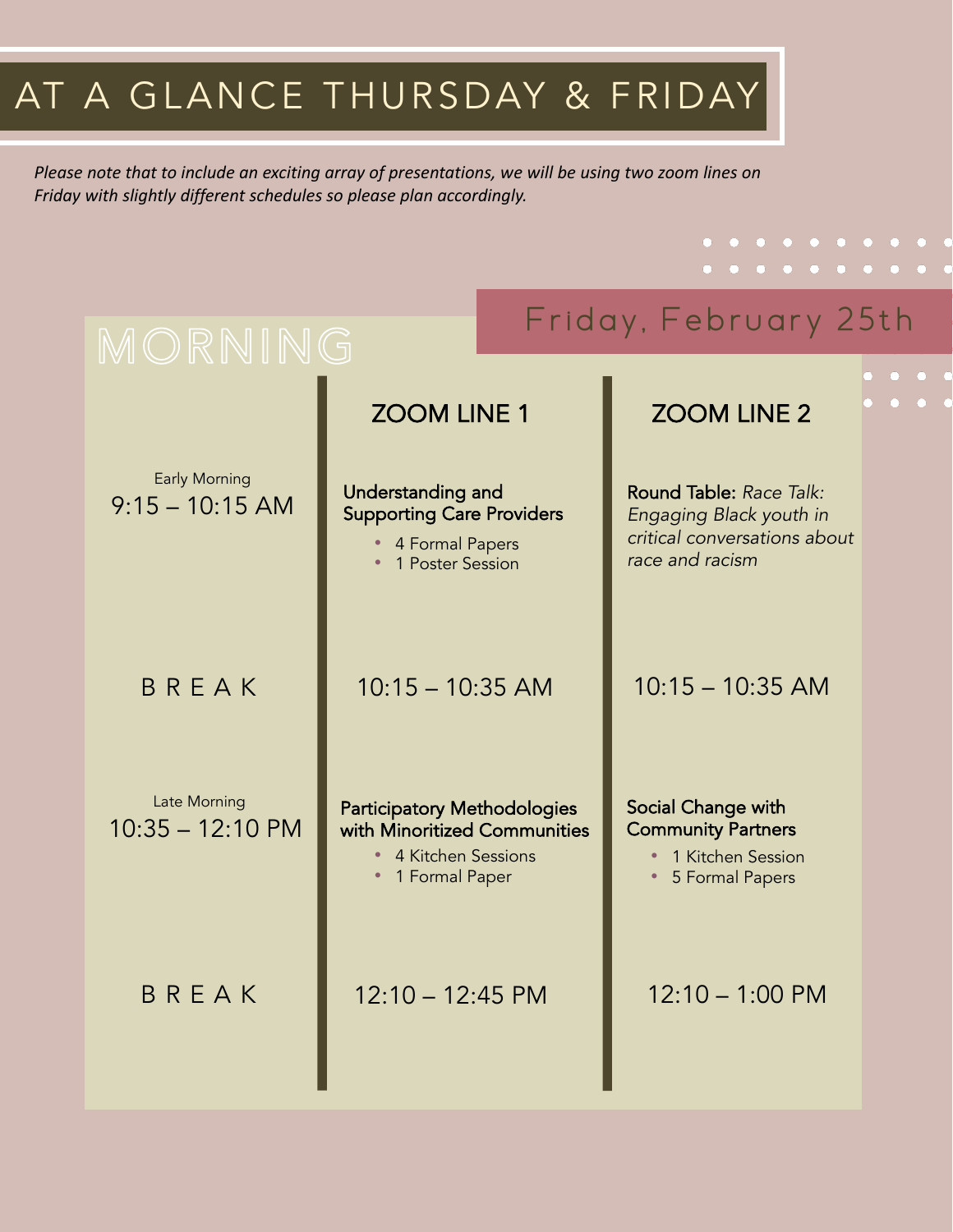## AT A GLANCE THURSDAY & FRIDAY

*Please note that to include an exciting array of presentations, we will be using two zoom lines on Friday with slightly different schedules so please plan accordingly.*